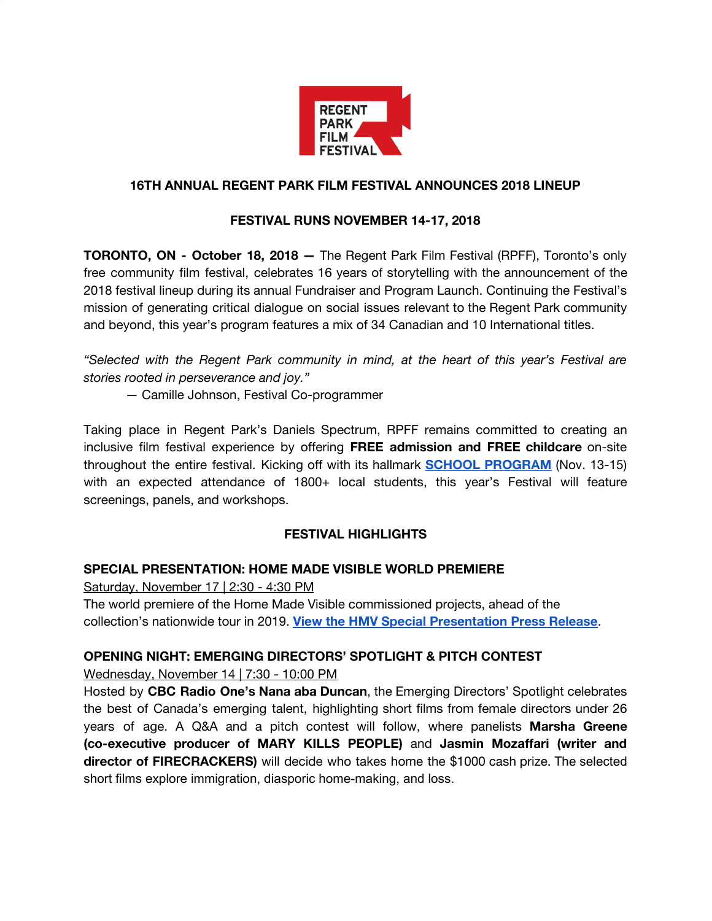

#### **16TH ANNUAL REGENT PARK FILM FESTIVAL ANNOUNCES 2018 LINEUP**

#### **FESTIVAL RUNS NOVEMBER 14-17, 2018**

**TORONTO, ON - October 18, 2018 —** The Regent Park Film Festival (RPFF), Toronto's only free community film festival, celebrates 16 years of storytelling with the announcement of the 2018 festival lineup during its annual Fundraiser and Program Launch. Continuing the Festival's mission of generating critical dialogue on social issues relevant to the Regent Park community and beyond, this year's program features a mix of 34 Canadian and 10 International titles.

*"Selected with the Regent Park community in mind, at the heart of this year's Festival are stories rooted in perseverance and joy."*

— Camille Johnson, Festival Co-programmer

Taking place in Regent Park's Daniels Spectrum, RPFF remains committed to creating an inclusive film festival experience by offering **FREE admission and FREE childcare** on-site throughout the entire festival. Kicking off with its hallmark **SCHOOL [PROGRAM](http://regentparkfilmfestival.com/festival/2018-school-program/)** (Nov. 13-15) with an expected attendance of 1800+ local students, this year's Festival will feature screenings, panels, and workshops.

#### **FESTIVAL HIGHLIGHTS**

#### **SPECIAL PRESENTATION: HOME MADE VISIBLE WORLD PREMIERE**

Saturday, November 17 | 2:30 - 4:30 PM

The world premiere of the Home Made Visible commissioned projects, ahead of the collection's nationwide tour in 2019. **View the HMV Special [Presentation](http://regentparkfilmfestival.com/wp-content/uploads/2018/10/2018-HMV-Special-Presentation-Press-Release.pdf) Press Release**.

#### **OPENING NIGHT: EMERGING DIRECTORS' SPOTLIGHT & PITCH CONTEST**

Wednesday, November 14 | 7:30 - 10:00 PM

Hosted by **CBC Radio One's Nana aba Duncan**, the Emerging Directors' Spotlight celebrates the best of Canada's emerging talent, highlighting short films from female directors under 26 years of age. A Q&A and a pitch contest will follow, where panelists **Marsha Greene (co-executive producer of MARY KILLS PEOPLE)** and **Jasmin Mozaffari (writer and director of FIRECRACKERS)** will decide who takes home the \$1000 cash prize. The selected short films explore immigration, diasporic home-making, and loss.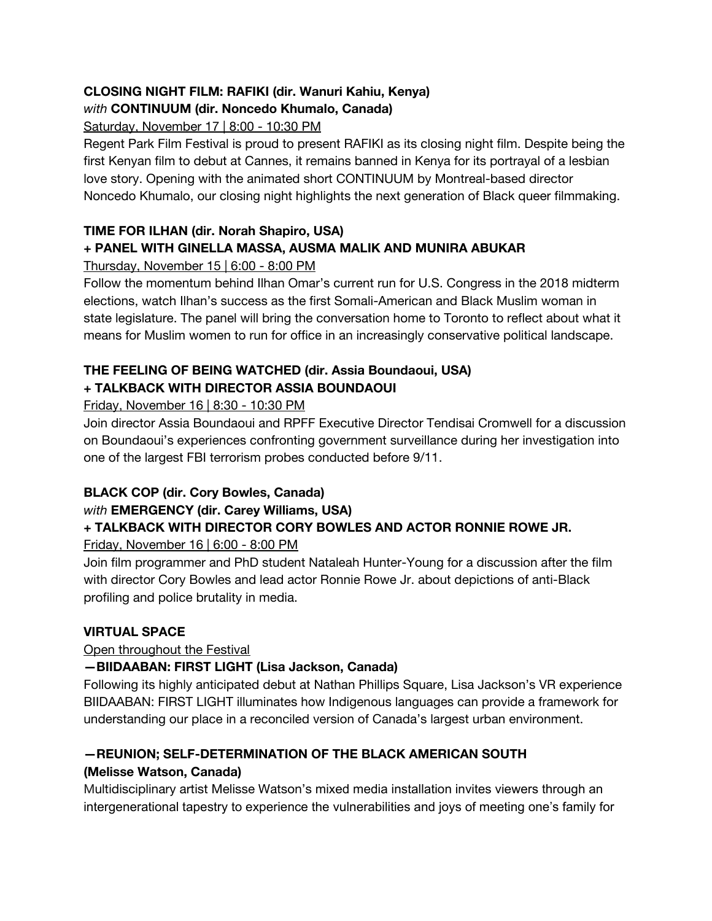# **CLOSING NIGHT FILM: RAFIKI (dir. Wanuri Kahiu, Kenya)**

# *with* **CONTINUUM (dir. Noncedo Khumalo, Canada)**

Saturday, November 17 | 8:00 - 10:30 PM

Regent Park Film Festival is proud to present RAFIKI as its closing night film. Despite being the first Kenyan film to debut at Cannes, it remains banned in Kenya for its portrayal of a lesbian love story. Opening with the animated short CONTINUUM by Montreal-based director Noncedo Khumalo, our closing night highlights the next generation of Black queer filmmaking.

## **TIME FOR ILHAN (dir. Norah Shapiro, USA)**

## **+ PANEL WITH GINELLA MASSA, AUSMA MALIK AND MUNIRA ABUKAR**

Thursday, November 15 | 6:00 - 8:00 PM

Follow the momentum behind Ilhan Omar's current run for U.S. Congress in the 2018 midterm elections, watch Ilhan's success as the first Somali-American and Black Muslim woman in state legislature. The panel will bring the conversation home to Toronto to reflect about what it means for Muslim women to run for office in an increasingly conservative political landscape.

# **THE FEELING OF BEING WATCHED (dir. Assia Boundaoui, USA) + TALKBACK WITH DIRECTOR ASSIA BOUNDAOUI**

## Friday, November 16 | 8:30 - 10:30 PM

Join director Assia Boundaoui and RPFF Executive Director Tendisai Cromwell for a discussion on Boundaoui's experiences confronting government surveillance during her investigation into one of the largest FBI terrorism probes conducted before 9/11.

# **BLACK COP (dir. Cory Bowles, Canada)**

# *with* **EMERGENCY (dir. Carey Williams, USA)**

# **+ TALKBACK WITH DIRECTOR CORY BOWLES AND ACTOR RONNIE ROWE JR.**

## Friday, November 16 | 6:00 - 8:00 PM

Join film programmer and PhD student Nataleah Hunter-Young for a discussion after the film with director Cory Bowles and lead actor Ronnie Rowe Jr. about depictions of anti-Black profiling and police brutality in media.

## **VIRTUAL SPACE**

## Open throughout the Festival

# **—BIIDAABAN: FIRST LIGHT (Lisa Jackson, Canada)**

Following its highly anticipated debut at Nathan Phillips Square, Lisa Jackson's VR experience BIIDAABAN: FIRST LIGHT illuminates how Indigenous languages can provide a framework for understanding our place in a reconciled version of Canada's largest urban environment.

# **—REUNION; SELF-DETERMINATION OF THE BLACK AMERICAN SOUTH**

## **(Melisse Watson, Canada)**

Multidisciplinary artist Melisse Watson's mixed media installation invites viewers through an intergenerational tapestry to experience the vulnerabilities and joys of meeting one's family for